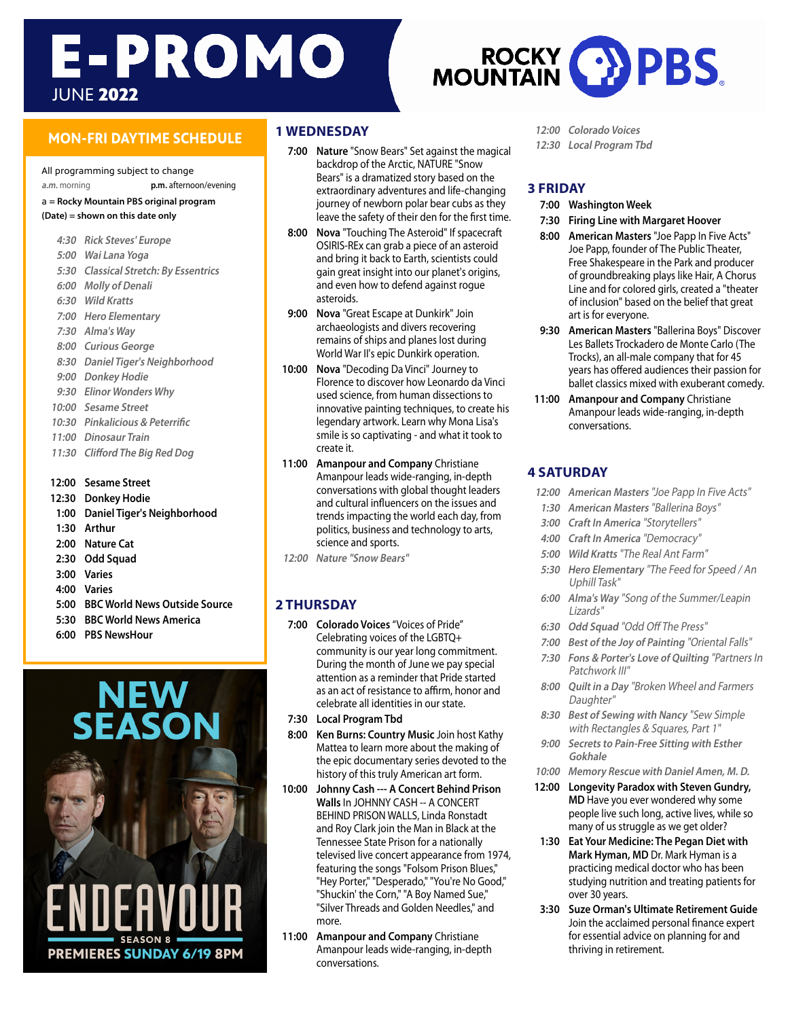# **E-PROMO** JUNE 2022

# **MON-FRI DAYTIME SCHEDULE**

All programming subject to change **a.m.** morning **p.m.** afternoon/evening

a **= Rocky Mountain PBS original program (Date) = shown on this date only**

- **4:30 Rick Steves' Europe 5:00 Wai Lana Yoga 5:30 Classical Stretch: By Essentrics 6:00 Molly of Denali 6:30 Wild Kratts 7:00 Hero Elementary 7:30 Alma's Way 8:00 Curious George 8:30 Daniel Tiger's Neighborhood 9:00 Donkey Hodie 9:30 Elinor Wonders Why 10:00 Sesame Street 10:30 Pinkalicious & Peterrific 11:00 Dinosaur Train 11:30 Clifford The Big Red Dog**
- **12:00 Sesame Street**
- **12:30 Donkey Hodie**
- **1:00 Daniel Tiger's Neighborhood**
- **1:30 Arthur**
- **2:00 Nature Cat**
- **2:30 Odd Squad**
- **3:00 Varies**
- **4:00 Varies**
- **5:00 BBC World News Outside Source**
- **5:30 BBC World News America**
- **6:00 PBS NewsHour**



#### **1 WEDNESDAY**

- **7:00 Nature** "Snow Bears" Set against the magical backdrop of the Arctic, NATURE "Snow Bears" is a dramatized story based on the extraordinary adventures and life-changing journey of newborn polar bear cubs as they leave the safety of their den for the first time.
- **8:00 Nova** "Touching The Asteroid" If spacecraft OSIRIS-REx can grab a piece of an asteroid and bring it back to Earth, scientists could gain great insight into our planet's origins, and even how to defend against rogue asteroids.
- **9:00 Nova** "Great Escape at Dunkirk" Join archaeologists and divers recovering remains of ships and planes lost during World War II's epic Dunkirk operation.
- **10:00 Nova** "Decoding Da Vinci" Journey to Florence to discover how Leonardo da Vinci used science, from human dissections to innovative painting techniques, to create his legendary artwork. Learn why Mona Lisa's smile is so captivating - and what it took to create it.
- **11:00 Amanpour and Company** Christiane Amanpour leads wide-ranging, in-depth conversations with global thought leaders and cultural influencers on the issues and trends impacting the world each day, from politics, business and technology to arts, science and sports.
- **12:00 Nature "Snow Bears"**

#### **2 THURSDAY**

- **7:00 Colorado Voices** "Voices of Pride" Celebrating voices of the LGBTQ+ community is our year long commitment. During the month of June we pay special attention as a reminder that Pride started as an act of resistance to affirm, honor and celebrate all identities in our state.
- **7:30 Local Program Tbd**
- **8:00 Ken Burns: Country Music** Join host Kathy Mattea to learn more about the making of the epic documentary series devoted to the history of this truly American art form.
- **10:00 Johnny Cash --- A Concert Behind Prison Walls** In JOHNNY CASH -- A CONCERT BEHIND PRISON WALLS, Linda Ronstadt and Roy Clark join the Man in Black at the Tennessee State Prison for a nationally televised live concert appearance from 1974, featuring the songs "Folsom Prison Blues," "Hey Porter," "Desperado," "You're No Good," "Shuckin' the Corn," "A Boy Named Sue," "Silver Threads and Golden Needles," and more.
- **11:00 Amanpour and Company** Christiane Amanpour leads wide-ranging, in-depth conversations.
- **12:00 Colorado Voices**
- **12:30 Local Program Tbd**

#### **3 FRIDAY**

- **7:00 Washington Week**
- **7:30 Firing Line with Margaret Hoover**
- **8:00 American Masters** "Joe Papp In Five Acts" Joe Papp, founder of The Public Theater, Free Shakespeare in the Park and producer of groundbreaking plays like Hair, A Chorus Line and for colored girls, created a "theater of inclusion" based on the belief that great art is for everyone.
- **9:30 American Masters** "Ballerina Boys" Discover Les Ballets Trockadero de Monte Carlo (The Trocks), an all-male company that for 45 years has offered audiences their passion for ballet classics mixed with exuberant comedy.
- **11:00 Amanpour and Company** Christiane Amanpour leads wide-ranging, in-depth conversations.

#### **4 SATURDAY**

- **12:00 American Masters** "Joe Papp In Five Acts"
- **1:30 American Masters** "Ballerina Boys"
- **3:00 Craft In America** "Storytellers"
- **4:00 Craft In America** "Democracy"
- **5:00 Wild Kratts** "The Real Ant Farm"
- **5:30 Hero Elementary** "The Feed for Speed / An Uphill Task"
- **6:00 Alma's Way** "Song of the Summer/Leapin Lizards"
- **6:30 Odd Squad** "Odd Off The Press"
- **7:00 Best of the Joy of Painting** "Oriental Falls"
- **7:30 Fons & Porter's Love of Quilting** "Partners In Patchwork III"
- **8:00 Quilt in a Day** "Broken Wheel and Farmers Daughter"
- **8:30 Best of Sewing with Nancy** "Sew Simple with Rectangles & Squares, Part 1"
- **9:00 Secrets to Pain-Free Sitting with Esther Gokhale**
- **10:00 Memory Rescue with Daniel Amen, M. D.**
- **12:00 Longevity Paradox with Steven Gundry, MD** Have you ever wondered why some people live such long, active lives, while so many of us struggle as we get older?
- **1:30 Eat Your Medicine: The Pegan Diet with Mark Hyman, MD** Dr. Mark Hyman is a practicing medical doctor who has been studying nutrition and treating patients for over 30 years.
- **3:30 Suze Orman's Ultimate Retirement Guide** Join the acclaimed personal finance expert for essential advice on planning for and thriving in retirement.

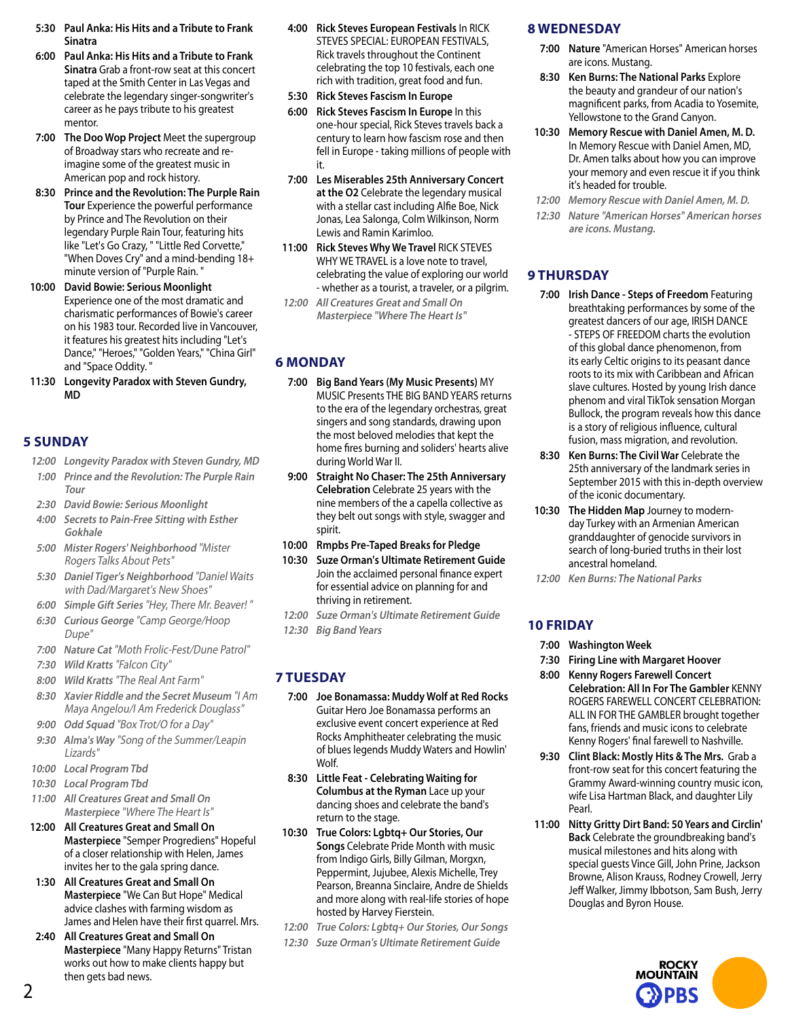- **5:30 Paul Anka: His Hits and a Tribute to Frank Sinatra**
- **6:00 Paul Anka: His Hits and a Tribute to Frank Sinatra** Grab a front-row seat at this concert taped at the Smith Center in Las Vegas and celebrate the legendary singer-songwriter's career as he pays tribute to his greatest mentor.
- **7:00 The Doo Wop Project** Meet the supergroup of Broadway stars who recreate and reimagine some of the greatest music in American pop and rock history.
- **8:30 Prince and the Revolution: The Purple Rain Tour** Experience the powerful performance by Prince and The Revolution on their legendary Purple Rain Tour, featuring hits like "Let's Go Crazy, " "Little Red Corvette," "When Doves Cry" and a mind-bending 18+ minute version of "Purple Rain. "
- **10:00 David Bowie: Serious Moonlight** Experience one of the most dramatic and charismatic performances of Bowie's career on his 1983 tour. Recorded live in Vancouver, it features his greatest hits including "Let's Dance," "Heroes," "Golden Years," "China Girl" and "Space Oddity. "
- **11:30 Longevity Paradox with Steven Gundry, MD**

#### **5 SUNDAY**

- **12:00 Longevity Paradox with Steven Gundry, MD**
- **1:00 Prince and the Revolution: The Purple Rain Tour**
- **2:30 David Bowie: Serious Moonlight**
- **4:00 Secrets to Pain-Free Sitting with Esther Gokhale**
- **5:00 Mister Rogers' Neighborhood** "Mister Rogers Talks About Pets"
- **5:30 Daniel Tiger's Neighborhood** "Daniel Waits with Dad/Margaret's New Shoes"
- **6:00 Simple Gift Series** "Hey, There Mr. Beaver! "
- **6:30 Curious George** "Camp George/Hoop Dupe"
- **7:00 Nature Cat** "Moth Frolic-Fest/Dune Patrol"
- **7:30 Wild Kratts** "Falcon City"
- **8:00 Wild Kratts** "The Real Ant Farm"
- **8:30 Xavier Riddle and the Secret Museum** "I Am Maya Angelou/I Am Frederick Douglass"
- **9:00 Odd Squad** "Box Trot/O for a Day"
- **9:30 Alma's Way** "Song of the Summer/Leapin Lizards"
- **10:00 Local Program Tbd**
- **10:30 Local Program Tbd**
- **11:00 All Creatures Great and Small On Masterpiece** "Where The Heart Is"
- **12:00 All Creatures Great and Small On Masterpiece** "Semper Progrediens" Hopeful of a closer relationship with Helen, James invites her to the gala spring dance.
- **1:30 All Creatures Great and Small On Masterpiece** "We Can But Hope" Medical advice clashes with farming wisdom as James and Helen have their first quarrel. Mrs.
- **2:40 All Creatures Great and Small On Masterpiece** "Many Happy Returns" Tristan works out how to make clients happy but then gets bad news.
- **4:00 Rick Steves European Festivals** In RICK STEVES SPECIAL: EUROPEAN FESTIVALS, Rick travels throughout the Continent celebrating the top 10 festivals, each one rich with tradition, great food and fun.
- **5:30 Rick Steves Fascism In Europe**
- **6:00 Rick Steves Fascism In Europe** In this one-hour special, Rick Steves travels back a century to learn how fascism rose and then fell in Europe - taking millions of people with it.
- **7:00 Les Miserables 25th Anniversary Concert at the O2** Celebrate the legendary musical with a stellar cast including Alfie Boe, Nick Jonas, Lea Salonga, Colm Wilkinson, Norm Lewis and Ramin Karimloo.
- **11:00 Rick Steves Why We Travel** RICK STEVES WHY WE TRAVEL is a love note to travel, celebrating the value of exploring our world - whether as a tourist, a traveler, or a pilgrim.
- **12:00 All Creatures Great and Small On Masterpiece "Where The Heart Is"**

# **6 MONDAY**

- **7:00 Big Band Years (My Music Presents)** MY MUSIC Presents THE BIG BAND YEARS returns to the era of the legendary orchestras, great singers and song standards, drawing upon the most beloved melodies that kept the home fires burning and soliders' hearts alive during World War II.
- **9:00 Straight No Chaser: The 25th Anniversary Celebration** Celebrate 25 years with the nine members of the a capella collective as they belt out songs with style, swagger and spirit.
- **10:00 Rmpbs Pre-Taped Breaks for Pledge**
- **10:30 Suze Orman's Ultimate Retirement Guide** Join the acclaimed personal finance expert for essential advice on planning for and thriving in retirement.
- **12:00 Suze Orman's Ultimate Retirement Guide**
- **12:30 Big Band Years**

#### **7 TUESDAY**

- **7:00 Joe Bonamassa: Muddy Wolf at Red Rocks** Guitar Hero Joe Bonamassa performs an exclusive event concert experience at Red Rocks Amphitheater celebrating the music of blues legends Muddy Waters and Howlin' Wolf.
- **8:30 Little Feat Celebrating Waiting for Columbus at the Ryman** Lace up your dancing shoes and celebrate the band's return to the stage.
- **10:30 True Colors: Lgbtq+ Our Stories, Our Songs** Celebrate Pride Month with music from Indigo Girls, Billy Gilman, Morgxn, Peppermint, Jujubee, Alexis Michelle, Trey Pearson, Breanna Sinclaire, Andre de Shields and more along with real-life stories of hope hosted by Harvey Fierstein.
- **12:00 True Colors: Lgbtq+ Our Stories, Our Songs**
- **12:30 Suze Orman's Ultimate Retirement Guide**

# **8 WEDNESDAY**

- **7:00 Nature** "American Horses" American horses are icons. Mustang.
- **8:30 Ken Burns: The National Parks** Explore the beauty and grandeur of our nation's magnificent parks, from Acadia to Yosemite, Yellowstone to the Grand Canyon.
- **10:30 Memory Rescue with Daniel Amen, M. D.**  In Memory Rescue with Daniel Amen, MD, Dr. Amen talks about how you can improve your memory and even rescue it if you think it's headed for trouble.
- **12:00 Memory Rescue with Daniel Amen, M. D.**
- **12:30 Nature "American Horses" American horses are icons. Mustang.**

# **9 THURSDAY**

- **7:00 Irish Dance Steps of Freedom** Featuring breathtaking performances by some of the greatest dancers of our age, IRISH DANCE - STEPS OF FREEDOM charts the evolution of this global dance phenomenon, from its early Celtic origins to its peasant dance roots to its mix with Caribbean and African slave cultures. Hosted by young Irish dance phenom and viral TikTok sensation Morgan Bullock, the program reveals how this dance is a story of religious influence, cultural fusion, mass migration, and revolution.
- **8:30 Ken Burns: The Civil War** Celebrate the 25th anniversary of the landmark series in September 2015 with this in-depth overview of the iconic documentary.
- **10:30 The Hidden Map** Journey to modernday Turkey with an Armenian American granddaughter of genocide survivors in search of long-buried truths in their lost ancestral homeland.
- **12:00 Ken Burns: The National Parks**

# **10 FRIDAY**

- **7:00 Washington Week**
- **7:30 Firing Line with Margaret Hoover**
- **8:00 Kenny Rogers Farewell Concert Celebration: All In For The Gambler** KENNY ROGERS FAREWELL CONCERT CELEBRATION: ALL IN FOR THE GAMBLER brought together fans, friends and music icons to celebrate Kenny Rogers' final farewell to Nashville.
- **9:30 Clint Black: Mostly Hits & The Mrs.** Grab a front-row seat for this concert featuring the Grammy Award-winning country music icon, wife Lisa Hartman Black, and daughter Lily Pearl.
- **11:00 Nitty Gritty Dirt Band: 50 Years and Circlin' Back** Celebrate the groundbreaking band's musical milestones and hits along with special guests Vince Gill, John Prine, Jackson Browne, Alison Krauss, Rodney Crowell, Jerry Jeff Walker, Jimmy Ibbotson, Sam Bush, Jerry Douglas and Byron House.

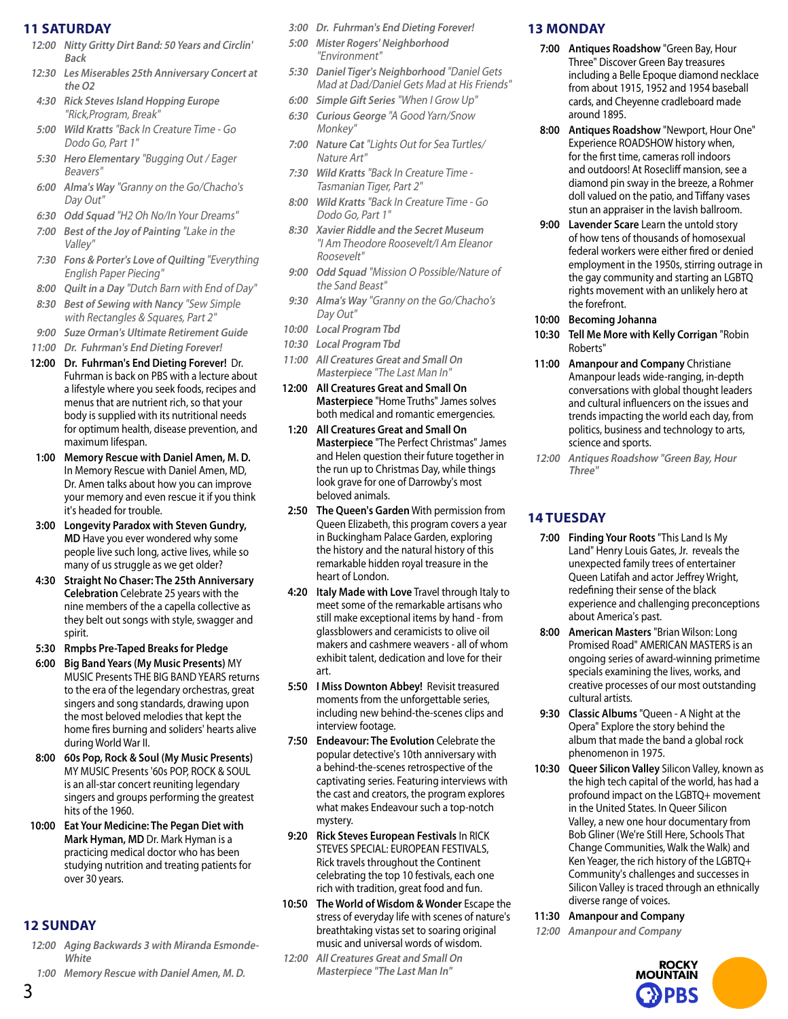#### **11 SATURDAY**

- **12:00 Nitty Gritty Dirt Band: 50 Years and Circlin' Back**
- **12:30 Les Miserables 25th Anniversary Concert at the O2**
- **4:30 Rick Steves Island Hopping Europe**  "Rick,Program, Break"
- **5:00 Wild Kratts** "Back In Creature Time Go Dodo Go, Part 1"
- **5:30 Hero Elementary** "Bugging Out / Eager Beavers"
- **6:00 Alma's Way** "Granny on the Go/Chacho's Day Out"
- **6:30 Odd Squad** "H2 Oh No/In Your Dreams"
- **7:00 Best of the Joy of Painting** "Lake in the Valley"
- **7:30 Fons & Porter's Love of Quilting** "Everything English Paper Piecing"
- **8:00 Quilt in a Day** "Dutch Barn with End of Day"
- **8:30 Best of Sewing with Nancy** "Sew Simple with Rectangles & Squares, Part 2"
- **9:00 Suze Orman's Ultimate Retirement Guide**
- **11:00 Dr. Fuhrman's End Dieting Forever!**
- **12:00 Dr. Fuhrman's End Dieting Forever!** Dr. Fuhrman is back on PBS with a lecture about a lifestyle where you seek foods, recipes and menus that are nutrient rich, so that your body is supplied with its nutritional needs for optimum health, disease prevention, and maximum lifespan.
- **1:00 Memory Rescue with Daniel Amen, M. D.**  In Memory Rescue with Daniel Amen, MD, Dr. Amen talks about how you can improve your memory and even rescue it if you think it's headed for trouble.
- **3:00 Longevity Paradox with Steven Gundry, MD** Have you ever wondered why some people live such long, active lives, while so many of us struggle as we get older?
- **4:30 Straight No Chaser: The 25th Anniversary Celebration** Celebrate 25 years with the nine members of the a capella collective as they belt out songs with style, swagger and spirit.
- **5:30 Rmpbs Pre-Taped Breaks for Pledge**
- **6:00 Big Band Years (My Music Presents)** MY MUSIC Presents THE BIG BAND YEARS returns to the era of the legendary orchestras, great singers and song standards, drawing upon the most beloved melodies that kept the home fires burning and soliders' hearts alive during World War II.
- **8:00 60s Pop, Rock & Soul (My Music Presents)** MY MUSIC Presents '60s POP, ROCK & SOUL is an all-star concert reuniting legendary singers and groups performing the greatest hits of the 1960.
- **10:00 Eat Your Medicine: The Pegan Diet with Mark Hyman, MD** Dr. Mark Hyman is a practicing medical doctor who has been studying nutrition and treating patients for over 30 years.

# **12 SUNDAY**

- **12:00 Aging Backwards 3 with Miranda Esmonde-White**
- **1:00 Memory Rescue with Daniel Amen, M. D.**
- **3:00 Dr. Fuhrman's End Dieting Forever!**
- **5:00 Mister Rogers' Neighborhood**  "Environment"
- **5:30 Daniel Tiger's Neighborhood** "Daniel Gets Mad at Dad/Daniel Gets Mad at His Friends"
- **6:00 Simple Gift Series** "When I Grow Up"
- **6:30 Curious George** "A Good Yarn/Snow Monkey"
- **7:00 Nature Cat** "Lights Out for Sea Turtles/ Nature Art"
- **7:30 Wild Kratts** "Back In Creature Time Tasmanian Tiger, Part 2"
- **8:00 Wild Kratts** "Back In Creature Time Go Dodo Go, Part 1"
- **8:30 Xavier Riddle and the Secret Museum**  "I Am Theodore Roosevelt/I Am Eleanor Roosevelt"
- **9:00 Odd Squad** "Mission O Possible/Nature of the Sand Beast"
- **9:30 Alma's Way** "Granny on the Go/Chacho's Day Out"
- **10:00 Local Program Tbd**
- **10:30 Local Program Tbd**
- **11:00 All Creatures Great and Small On Masterpiece** "The Last Man In"
- **12:00 All Creatures Great and Small On Masterpiece** "Home Truths" James solves both medical and romantic emergencies.
- **1:20 All Creatures Great and Small On Masterpiece** "The Perfect Christmas" James and Helen question their future together in the run up to Christmas Day, while things look grave for one of Darrowby's most beloved animals.
- **2:50 The Queen's Garden** With permission from Queen Elizabeth, this program covers a year in Buckingham Palace Garden, exploring the history and the natural history of this remarkable hidden royal treasure in the heart of London.
- **4:20 Italy Made with Love** Travel through Italy to meet some of the remarkable artisans who still make exceptional items by hand - from glassblowers and ceramicists to olive oil makers and cashmere weavers - all of whom exhibit talent, dedication and love for their art.
- **5:50 I Miss Downton Abbey!** Revisit treasured moments from the unforgettable series, including new behind-the-scenes clips and interview footage.
- **7:50 Endeavour: The Evolution** Celebrate the popular detective's 10th anniversary with a behind-the-scenes retrospective of the captivating series. Featuring interviews with the cast and creators, the program explores what makes Endeavour such a top-notch mystery.
- **9:20 Rick Steves European Festivals** In RICK STEVES SPECIAL: EUROPEAN FESTIVALS, Rick travels throughout the Continent celebrating the top 10 festivals, each one rich with tradition, great food and fun.
- **10:50 The World of Wisdom & Wonder** Escape the stress of everyday life with scenes of nature's breathtaking vistas set to soaring original music and universal words of wisdom.
- **12:00 All Creatures Great and Small On Masterpiece "The Last Man In"**

# **13 MONDAY**

- **7:00 Antiques Roadshow** "Green Bay, Hour Three" Discover Green Bay treasures including a Belle Epoque diamond necklace from about 1915, 1952 and 1954 baseball cards, and Cheyenne cradleboard made around 1895.
- **8:00 Antiques Roadshow** "Newport, Hour One" Experience ROADSHOW history when, for the first time, cameras roll indoors and outdoors! At Rosecliff mansion, see a diamond pin sway in the breeze, a Rohmer doll valued on the patio, and Tiffany vases stun an appraiser in the lavish ballroom.
- **9:00 Lavender Scare** Learn the untold story of how tens of thousands of homosexual federal workers were either fired or denied employment in the 1950s, stirring outrage in the gay community and starting an LGBTQ rights movement with an unlikely hero at the forefront.
- **10:00 Becoming Johanna**
- **10:30 Tell Me More with Kelly Corrigan** "Robin Roberts"
- **11:00 Amanpour and Company** Christiane Amanpour leads wide-ranging, in-depth conversations with global thought leaders and cultural influencers on the issues and trends impacting the world each day, from politics, business and technology to arts, science and sports.
- **12:00 Antiques Roadshow "Green Bay, Hour Three"**

# **14 TUESDAY**

- **7:00 Finding Your Roots** "This Land Is My Land" Henry Louis Gates, Jr. reveals the unexpected family trees of entertainer Queen Latifah and actor Jeffrey Wright, redefining their sense of the black experience and challenging preconceptions about America's past.
- **8:00 American Masters** "Brian Wilson: Long Promised Road" AMERICAN MASTERS is an ongoing series of award-winning primetime specials examining the lives, works, and creative processes of our most outstanding cultural artists.
- **9:30 Classic Albums** "Queen A Night at the Opera" Explore the story behind the album that made the band a global rock phenomenon in 1975.
- **10:30 Queer Silicon Valley** Silicon Valley, known as the high tech capital of the world, has had a profound impact on the LGBTQ+ movement in the United States. In Queer Silicon Valley, a new one hour documentary from Bob Gliner (We're Still Here, Schools That Change Communities, Walk the Walk) and Ken Yeager, the rich history of the LGBTQ+ Community's challenges and successes in Silicon Valley is traced through an ethnically diverse range of voices.
- **11:30 Amanpour and Company**
- **12:00 Amanpour and Company**

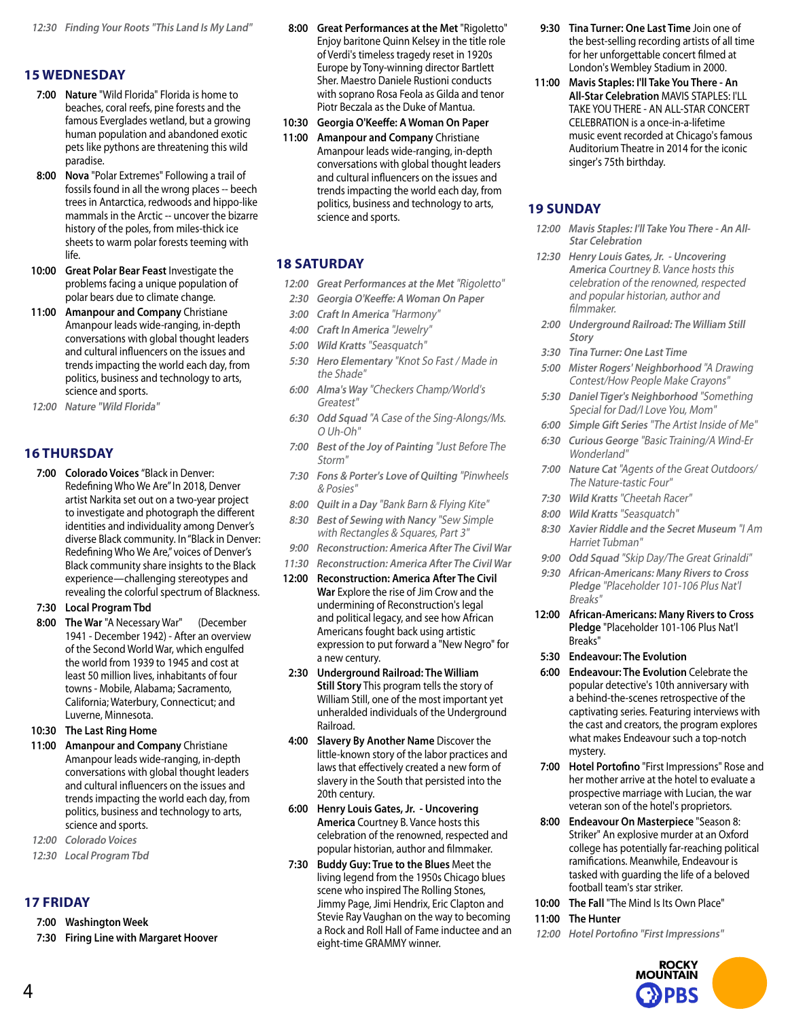# **15 WEDNESDAY**

- **7:00 Nature** "Wild Florida" Florida is home to beaches, coral reefs, pine forests and the famous Everglades wetland, but a growing human population and abandoned exotic pets like pythons are threatening this wild paradise.
- **8:00 Nova** "Polar Extremes" Following a trail of fossils found in all the wrong places -- beech trees in Antarctica, redwoods and hippo-like mammals in the Arctic -- uncover the bizarre history of the poles, from miles-thick ice sheets to warm polar forests teeming with life.
- **10:00 Great Polar Bear Feast** Investigate the problems facing a unique population of polar bears due to climate change.
- **11:00 Amanpour and Company** Christiane Amanpour leads wide-ranging, in-depth conversations with global thought leaders and cultural influencers on the issues and trends impacting the world each day, from politics, business and technology to arts, science and sports.
- **12:00 Nature "Wild Florida"**

# **16 THURSDAY**

**7:00 Colorado Voices** "Black in Denver: Redefining Who We Are" In 2018, Denver artist Narkita set out on a two-year project to investigate and photograph the different identities and individuality among Denver's diverse Black community. In "Black in Denver: Redefining Who We Are," voices of Denver's Black community share insights to the Black experience—challenging stereotypes and revealing the colorful spectrum of Blackness.

#### **7:30 Local Program Tbd**

**8:00 The War** "A Necessary War" (December 1941 - December 1942) - After an overview of the Second World War, which engulfed the world from 1939 to 1945 and cost at least 50 million lives, inhabitants of four towns - Mobile, Alabama; Sacramento, California; Waterbury, Connecticut; and Luverne, Minnesota.

#### **10:30 The Last Ring Home**

- **11:00 Amanpour and Company** Christiane Amanpour leads wide-ranging, in-depth conversations with global thought leaders and cultural influencers on the issues and trends impacting the world each day, from politics, business and technology to arts, science and sports.
- **12:00 Colorado Voices**
- **12:30 Local Program Tbd**

#### **17 FRIDAY**

- **7:00 Washington Week**
- **7:30 Firing Line with Margaret Hoover**
- **8:00 Great Performances at the Met** "Rigoletto" Enjoy baritone Quinn Kelsey in the title role of Verdi's timeless tragedy reset in 1920s Europe by Tony-winning director Bartlett Sher. Maestro Daniele Rustioni conducts with soprano Rosa Feola as Gilda and tenor Piotr Beczala as the Duke of Mantua.
- **10:30 Georgia O'Keeffe: A Woman On Paper**
- **11:00 Amanpour and Company** Christiane Amanpour leads wide-ranging, in-depth conversations with global thought leaders and cultural influencers on the issues and trends impacting the world each day, from politics, business and technology to arts, science and sports.

#### **18 SATURDAY**

- **12:00 Great Performances at the Met** "Rigoletto"
- **2:30 Georgia O'Keeffe: A Woman On Paper**
- **3:00 Craft In America** "Harmony"
- **4:00 Craft In America** "Jewelry"
- **5:00 Wild Kratts** "Seasquatch"
- **5:30 Hero Elementary** "Knot So Fast / Made in the Shade"
- **6:00 Alma's Way** "Checkers Champ/World's Greatest"
- **6:30 Odd Squad** "A Case of the Sing-Alongs/Ms. O Uh-Oh"
- **7:00 Best of the Joy of Painting** "Just Before The Storm"
- **7:30 Fons & Porter's Love of Quilting** "Pinwheels & Posies"
- **8:00 Quilt in a Day** "Bank Barn & Flying Kite"
- **8:30 Best of Sewing with Nancy** "Sew Simple with Rectangles & Squares, Part 3"
- **9:00 Reconstruction: America After The Civil War**
- **11:30 Reconstruction: America After The Civil War**
- **12:00 Reconstruction: America After The Civil War** Explore the rise of Jim Crow and the undermining of Reconstruction's legal and political legacy, and see how African Americans fought back using artistic expression to put forward a "New Negro" for a new century.
- **2:30 Underground Railroad: The William Still Story** This program tells the story of William Still, one of the most important yet unheralded individuals of the Underground Railroad.
- **4:00 Slavery By Another Name** Discover the little-known story of the labor practices and laws that effectively created a new form of slavery in the South that persisted into the 20th century.
- **6:00 Henry Louis Gates, Jr. Uncovering America** Courtney B. Vance hosts this celebration of the renowned, respected and popular historian, author and filmmaker.
- **7:30 Buddy Guy: True to the Blues** Meet the living legend from the 1950s Chicago blues scene who inspired The Rolling Stones, Jimmy Page, Jimi Hendrix, Eric Clapton and Stevie Ray Vaughan on the way to becoming a Rock and Roll Hall of Fame inductee and an eight-time GRAMMY winner.
- **9:30 Tina Turner: One Last Time** Join one of the best-selling recording artists of all time for her unforgettable concert filmed at London's Wembley Stadium in 2000.
- **11:00 Mavis Staples: I'll Take You There An All-Star Celebration** MAVIS STAPLES: I'LL TAKE YOU THERE - AN ALL-STAR CONCERT CELEBRATION is a once-in-a-lifetime music event recorded at Chicago's famous Auditorium Theatre in 2014 for the iconic singer's 75th birthday.

# **19 SUNDAY**

- **12:00 Mavis Staples: I'll Take You There An All-Star Celebration**
- **12:30 Henry Louis Gates, Jr. Uncovering America** Courtney B. Vance hosts this celebration of the renowned, respected and popular historian, author and filmmaker.
- **2:00 Underground Railroad: The William Still Story**
- **3:30 Tina Turner: One Last Time**
- **5:00 Mister Rogers' Neighborhood** "A Drawing Contest/How People Make Crayons"
- **5:30 Daniel Tiger's Neighborhood** "Something Special for Dad/I Love You, Mom"
- **6:00 Simple Gift Series** "The Artist Inside of Me"
- **6:30 Curious George** "Basic Training/A Wind-Er Wonderland"
- **7:00 Nature Cat** "Agents of the Great Outdoors/ The Nature-tastic Four"
- **7:30 Wild Kratts** "Cheetah Racer"
- **8:00 Wild Kratts** "Seasquatch"
- **8:30 Xavier Riddle and the Secret Museum** "I Am Harriet Tubman"
- **9:00 Odd Squad** "Skip Day/The Great Grinaldi"
- **9:30 African-Americans: Many Rivers to Cross Pledge** "Placeholder 101-106 Plus Nat'l Breaks"

**12:00 African-Americans: Many Rivers to Cross Pledge** "Placeholder 101-106 Plus Nat'l Breaks"

- **5:30 Endeavour: The Evolution**
- **6:00 Endeavour: The Evolution** Celebrate the popular detective's 10th anniversary with a behind-the-scenes retrospective of the captivating series. Featuring interviews with the cast and creators, the program explores what makes Endeavour such a top-notch mystery.
- **7:00 Hotel Portofino** "First Impressions" Rose and her mother arrive at the hotel to evaluate a prospective marriage with Lucian, the war veteran son of the hotel's proprietors.
- **8:00 Endeavour On Masterpiece** "Season 8: Striker" An explosive murder at an Oxford college has potentially far-reaching political ramifications. Meanwhile, Endeavour is tasked with guarding the life of a beloved football team's star striker.
- **10:00 The Fall** "The Mind Is Its Own Place"
- **11:00 The Hunter**
- **12:00 Hotel Portofino "First Impressions"**

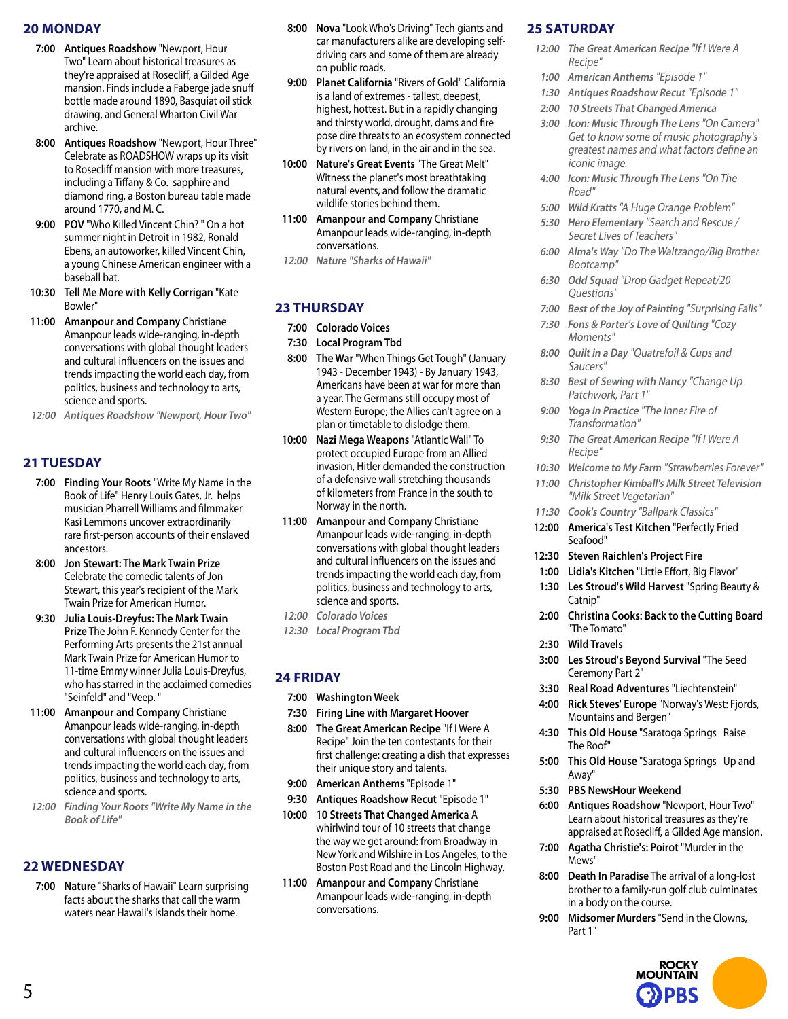#### **20 MONDAY**

- **7:00 Antiques Roadshow** "Newport, Hour Two" Learn about historical treasures as they're appraised at Rosecliff, a Gilded Age mansion. Finds include a Faberge jade snuff bottle made around 1890, Basquiat oil stick drawing, and General Wharton Civil War archive.
- **8:00 Antiques Roadshow** "Newport, Hour Three" Celebrate as ROADSHOW wraps up its visit to Rosecliff mansion with more treasures, including a Tiffany & Co. sapphire and diamond ring, a Boston bureau table made around 1770, and M. C.
- **9:00 POV** "Who Killed Vincent Chin? " On a hot summer night in Detroit in 1982, Ronald Ebens, an autoworker, killed Vincent Chin, a young Chinese American engineer with a baseball bat.
- **10:30 Tell Me More with Kelly Corrigan** "Kate Bowler"
- **11:00 Amanpour and Company** Christiane Amanpour leads wide-ranging, in-depth conversations with global thought leaders and cultural influencers on the issues and trends impacting the world each day, from politics, business and technology to arts, science and sports.
- **12:00 Antiques Roadshow "Newport, Hour Two"**

#### **21 TUESDAY**

- **7:00 Finding Your Roots** "Write My Name in the Book of Life" Henry Louis Gates, Jr. helps musician Pharrell Williams and filmmaker Kasi Lemmons uncover extraordinarily rare first-person accounts of their enslaved ancestors.
- **8:00 Jon Stewart: The Mark Twain Prize** Celebrate the comedic talents of Jon Stewart, this year's recipient of the Mark Twain Prize for American Humor.
- **9:30 Julia Louis-Dreyfus: The Mark Twain Prize** The John F. Kennedy Center for the Performing Arts presents the 21st annual Mark Twain Prize for American Humor to 11-time Emmy winner Julia Louis-Dreyfus, who has starred in the acclaimed comedies "Seinfeld" and "Veep. "
- **11:00 Amanpour and Company** Christiane Amanpour leads wide-ranging, in-depth conversations with global thought leaders and cultural influencers on the issues and trends impacting the world each day, from politics, business and technology to arts, science and sports.
- **12:00 Finding Your Roots "Write My Name in the Book of Life"**

#### **22 WEDNESDAY**

**7:00 Nature** "Sharks of Hawaii" Learn surprising facts about the sharks that call the warm waters near Hawaii's islands their home.

- **8:00 Nova** "Look Who's Driving" Tech giants and car manufacturers alike are developing selfdriving cars and some of them are already on public roads.
- **9:00 Planet California** "Rivers of Gold" California is a land of extremes - tallest, deepest, highest, hottest. But in a rapidly changing and thirsty world, drought, dams and fire pose dire threats to an ecosystem connected by rivers on land, in the air and in the sea.
- **10:00 Nature's Great Events** "The Great Melt" Witness the planet's most breathtaking natural events, and follow the dramatic wildlife stories behind them.
- **11:00 Amanpour and Company** Christiane Amanpour leads wide-ranging, in-depth conversations.
- **12:00 Nature "Sharks of Hawaii"**

# **23 THURSDAY**

- **7:00 Colorado Voices**
- **7:30 Local Program Tbd**
- **8:00 The War** "When Things Get Tough" (January 1943 - December 1943) - By January 1943, Americans have been at war for more than a year. The Germans still occupy most of Western Europe; the Allies can't agree on a plan or timetable to dislodge them.
- **10:00 Nazi Mega Weapons** "Atlantic Wall" To protect occupied Europe from an Allied invasion, Hitler demanded the construction of a defensive wall stretching thousands of kilometers from France in the south to Norway in the north.
- **11:00 Amanpour and Company** Christiane Amanpour leads wide-ranging, in-depth conversations with global thought leaders and cultural influencers on the issues and trends impacting the world each day, from politics, business and technology to arts, science and sports.
- **12:00 Colorado Voices**
- **12:30 Local Program Tbd**

# **24 FRIDAY**

- **7:00 Washington Week**
- **7:30 Firing Line with Margaret Hoover**
- **8:00 The Great American Recipe** "If I Were A Recipe" Join the ten contestants for their first challenge: creating a dish that expresses their unique story and talents.
- **9:00 American Anthems** "Episode 1"
- **9:30 Antiques Roadshow Recut** "Episode 1"
- **10:00 10 Streets That Changed America** A whirlwind tour of 10 streets that change the way we get around: from Broadway in New York and Wilshire in Los Angeles, to the Boston Post Road and the Lincoln Highway.
- **11:00 Amanpour and Company** Christiane Amanpour leads wide-ranging, in-depth conversations.

# **25 SATURDAY**

- **12:00 The Great American Recipe** "If I Were A Recipe"
- **1:00 American Anthems** "Episode 1"
- **1:30 Antiques Roadshow Recut** "Episode 1"
- **2:00 10 Streets That Changed America**
- **3:00 Icon: Music Through The Lens** "On Camera" Get to know some of music photography's greatest names and what factors define an iconic image.
- **4:00 Icon: Music Through The Lens** "On The Road"
- **5:00 Wild Kratts** "A Huge Orange Problem"
- **5:30 Hero Elementary** "Search and Rescue / Secret Lives of Teachers"
- **6:00 Alma's Way** "Do The Waltzango/Big Brother Bootcamp"
- **6:30 Odd Squad** "Drop Gadget Repeat/20 Questions"
- **7:00 Best of the Joy of Painting** "Surprising Falls"
- **7:30 Fons & Porter's Love of Quilting** "Cozy Moments"
- **8:00 Quilt in a Day** "Quatrefoil & Cups and Saucers"
- **8:30 Best of Sewing with Nancy** "Change Up Patchwork, Part 1"
- **9:00 Yoga In Practice** "The Inner Fire of Transformation"
- **9:30 The Great American Recipe** "If I Were A Recipe"
- **10:30 Welcome to My Farm** "Strawberries Forever"
- **11:00 Christopher Kimball's Milk Street Television**  "Milk Street Vegetarian"
- **11:30 Cook's Country** "Ballpark Classics"
- **12:00 America's Test Kitchen** "Perfectly Fried Seafood"
- **12:30 Steven Raichlen's Project Fire**
- **1:00 Lidia's Kitchen** "Little Effort, Big Flavor" **1:30 Les Stroud's Wild Harvest** "Spring Beauty &
- Catnip"
- **2:00 Christina Cooks: Back to the Cutting Board** "The Tomato"
- **2:30 Wild Travels**
- **3:00 Les Stroud's Beyond Survival** "The Seed Ceremony Part 2"
- **3:30 Real Road Adventures** "Liechtenstein"
- **4:00 Rick Steves' Europe** "Norway's West: Fjords, Mountains and Bergen"
- **4:30 This Old House** "Saratoga Springs Raise The Roof"
- **5:00 This Old House** "Saratoga Springs Up and Away"
- **5:30 PBS NewsHour Weekend**
- **6:00 Antiques Roadshow** "Newport, Hour Two" Learn about historical treasures as they're appraised at Rosecliff, a Gilded Age mansion.
- **7:00 Agatha Christie's: Poirot** "Murder in the Mews"
- **8:00 Death In Paradise** The arrival of a long-lost brother to a family-run golf club culminates in a body on the course.
- **9:00 Midsomer Murders** "Send in the Clowns, Part 1"